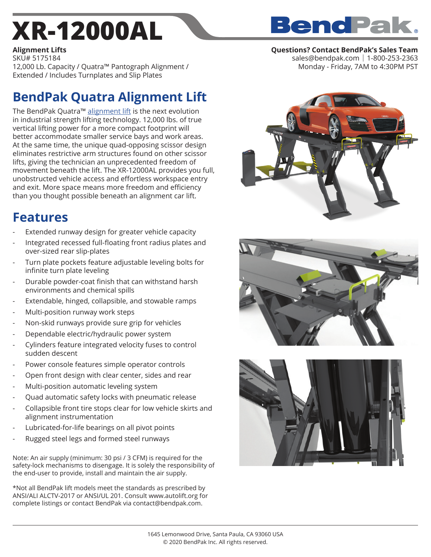# **XR-12000AL**

## **BendPak**

#### **Alignment Lifts**

**Questions? Contact BendPak's Sales Team** sales@bendpak.com | 1-800-253-2363 Monday - Friday, 7AM to 4:30PM PST

SKU# 5175184 12,000 Lb. Capacity / Quatra™ Pantograph Alignment / Extended / Includes Turnplates and Slip Plates

## **BendPak Quatra Alignment Lift**

The BendPak Quatra<sup>™</sup> alignment lift is the next evolution in industrial strength lifting technology. 12,000 lbs. of true vertical lifting power for a more compact footprint will better accommodate smaller service bays and work areas. At the same time, the unique quad-opposing scissor design eliminates restrictive arm structures found on other scissor lifts, giving the technician an unprecedented freedom of movement beneath the lift. The XR-12000AL provides you full, unobstructed vehicle access and effortless workspace entry and exit. More space means more freedom and efficiency than you thought possible beneath an alignment car lift.

### **Features**

- Extended runway design for greater vehicle capacity
- Integrated recessed full-floating front radius plates and over-sized rear slip-plates
- Turn plate pockets feature adjustable leveling bolts for infinite turn plate leveling
- Durable powder-coat finish that can withstand harsh environments and chemical spills
- Extendable, hinged, collapsible, and stowable ramps
- Multi-position runway work steps
- Non-skid runways provide sure grip for vehicles
- Dependable electric/hydraulic power system
- Cylinders feature integrated velocity fuses to control sudden descent
- Power console features simple operator controls
- Open front design with clear center, sides and rear
- Multi-position automatic leveling system
- Quad automatic safety locks with pneumatic release
- Collapsible front tire stops clear for low vehicle skirts and alignment instrumentation
- Lubricated-for-life bearings on all pivot points
- Rugged steel legs and formed steel runways

Note: An air supply (minimum: 30 psi / 3 CFM) is required for the safety-lock mechanisms to disengage. It is solely the responsibility of the end-user to provide, install and maintain the air supply.

\*Not all BendPak lift models meet the standards as prescribed by ANSI/ALI ALCTV-2017 or ANSI/UL 201. Consult www.autolift.org for complete listings or contact BendPak via contact@bendpak.com.